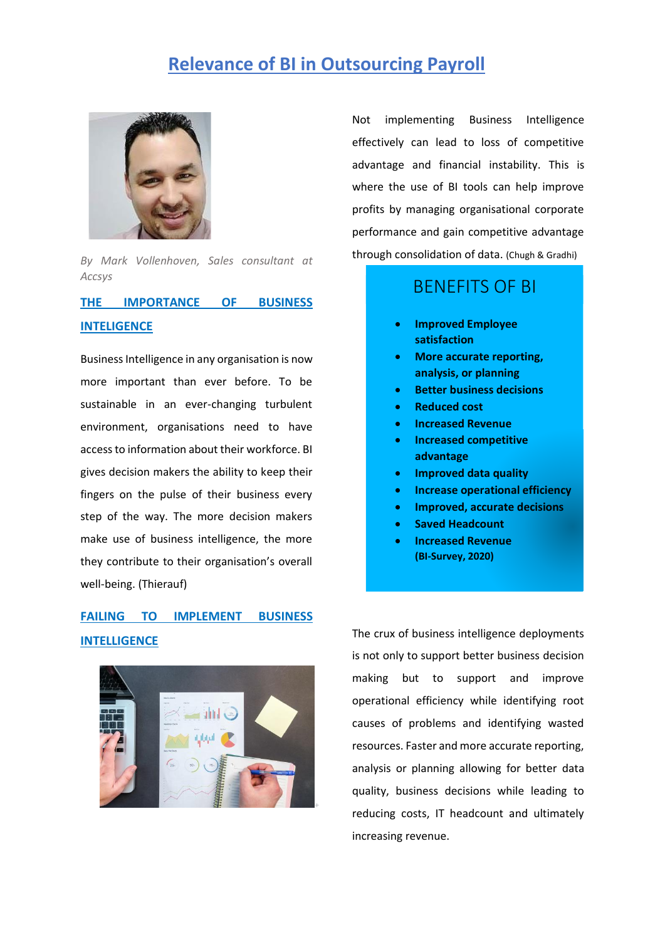# **Relevance of BI in Outsourcing Payroll**



*By Mark Vollenhoven, Sales consultant at Accsys*

#### **THE IMPORTANCE OF BUSINESS INTELIGENCE**

Business Intelligence in any organisation is now more important than ever before. To be sustainable in an ever-changing turbulent environment, organisations need to have access to information about their workforce. BI gives decision makers the ability to keep their fingers on the pulse of their business every step of the way. The more decision makers make use of business intelligence, the more they contribute to their organisation's overall well-being. (Thierauf)

## **FAILING TO IMPLEMENT BUSINESS INTELLIGENCE**



Not implementing Business Intelligence effectively can lead to loss of competitive advantage and financial instability. This is where the use of BI tools can help improve profits by managing organisational corporate performance and gain competitive advantage through consolidation of data. (Chugh & Gradhi)

### BENEFITS OF BI

- **Improved Employee satisfaction**
- **More accurate reporting, analysis, or planning**
- **Better business decisions**
- **Reduced cost**
- **Increased Revenue**
- **Increased competitive advantage**
- **Improved data quality**
- **Increase operational efficiency**
- **Improved, accurate decisions**
- **Saved Headcount**
- **Increased Revenue (BI-Survey, 2020)**

The crux of business intelligence deployments is not only to support better business decision making but to support and improve operational efficiency while identifying root causes of problems and identifying wasted resources. Faster and more accurate reporting, analysis or planning allowing for better data quality, business decisions while leading to reducing costs, IT headcount and ultimately increasing revenue.